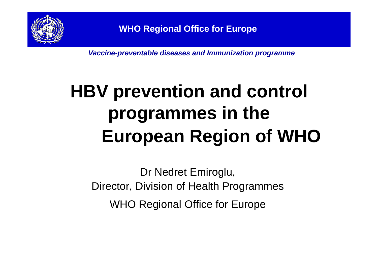

*Vaccine-preventable diseases and Immunization programme*

# **HBV prevention and control programmes in the European Region of WHO**

Dr Nedret Emiroglu, Director, Division of Health Programmes WHO Regional Office for Europe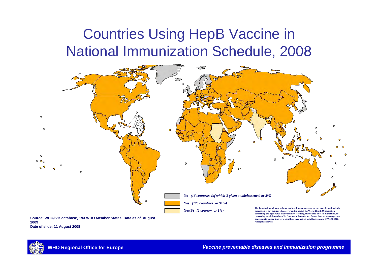#### Countries Using HepB Vaccine in National Immunization Schedule, 2008



**Source: WHO/IVB database, 193 WHO Member States. Data as of August 2009Date of slide: 11 August 2008**

**approximate border lines for which there may not yet be full agreement. © WHO 2009. All rights reserved**

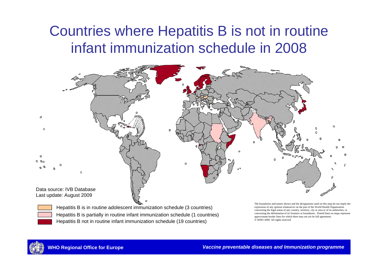#### Countries where Hepatitis B is not in routine infant immunization schedule in 2008



Hepatitis B not in routine infant immunization schedule (19 countries) Hepatitis B is partially in routine infant immunization schedule (1 countries) Hepatitis B is in routine adolescent immunization schedule (3 countries)

The boundaries and names shown and the designations used on this map do not imply the expression of any opinion whatsoever on the part of the World Health Organization concerning the legal status of any country, territory, city or area or of its authorities, or concerning the delimitation of its frontiers or boundaries. Dotted lines on maps represent approximate border lines for which there may not yet be full agreement. © WHO 2009. All rights reserved

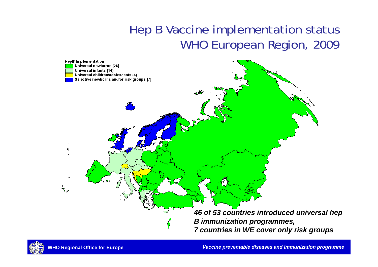#### Hep B Vaccine implementation status WHO European Region, 2009



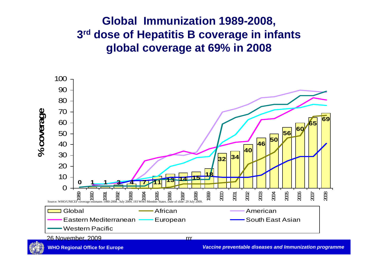#### **Global Immunization 1989-2008, 3rd dose of Hepatitis B coverage in infants global coverage at 69% in 2008**



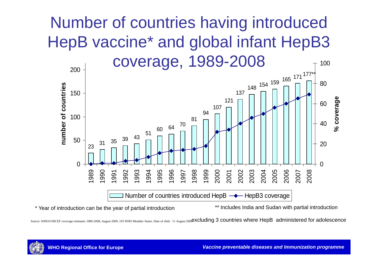### Number of countries having introduced HepB vaccine\* and global infant HepB3 coverage, 1989-2008



\* Year of introduction can be the year of partial introduction \*\* Includes India and Sudan with partial introduction

Source: WHO/UNICEF coverage estimates 1980-2008, August 2009, 193 WHO Member States. Date of slide: 11 August 2009excluding 3 countries where HepB administered for adolescence

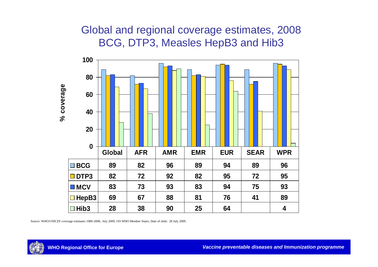#### Global and regional coverage estimates, 2008 BCG, DTP3, Measles HepB3 and Hib3



Source: WHO/UNICEF coverage estimates 1980-2008, July 2009, 193 WHO Member States. Date of slide: 28 July 2009.

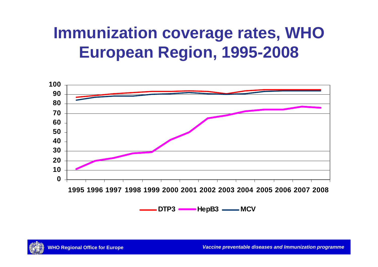### **Immunization coverage rates, WHO European Region, 1995-2008**



**DTP3HepB3** —— MCV

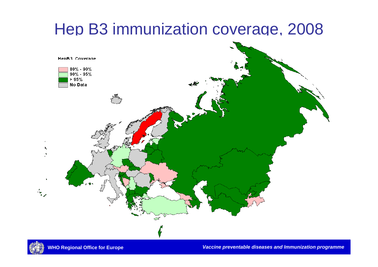### Hep B3 immunization coverage, 2008



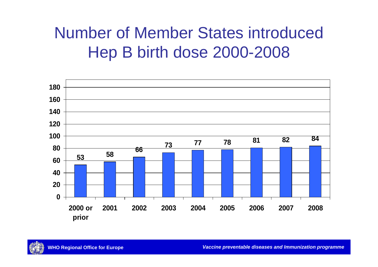### Number of Member States introduced Hep B birth dose 2000-2008



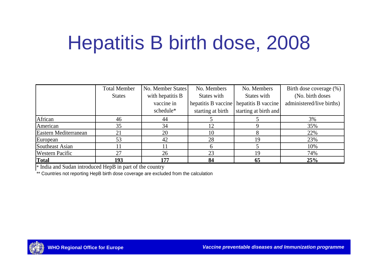# Hepatitis B birth dose, 2008

|                        | <b>Total Member</b> | No. Member States | No. Members       | No. Members                               | Birth dose coverage $(\%)$ |
|------------------------|---------------------|-------------------|-------------------|-------------------------------------------|----------------------------|
|                        | <b>States</b>       | with hepatitis B  | States with       | States with                               | (No. birth doses)          |
|                        |                     | vaccine in        |                   | hepatitis B vaccine   hepatitis B vaccine | administered/live births)  |
|                        |                     | schedule*         | starting at birth | starting at birth and                     |                            |
| African                | 46                  | 44                |                   |                                           | 3%                         |
| American               | 35                  | 34                | 12                |                                           | 35%                        |
| Eastern Mediterranean  | 21                  | 20                | 10                |                                           | 22%                        |
| European               | 53                  | 42                | 28                | 19                                        | 23%                        |
| Southeast Asian        |                     |                   | h                 |                                           | 10%                        |
| <b>Western Pacific</b> | 27                  | 26                | 23                | 19                                        | 74%                        |
| <b>Total</b>           | 193                 | 177               | 84                | 65                                        | 25%                        |

\* India and Sudan introduced HepB in part of the country

\*\* Countries not reporting HepB birth dose coverage are excluded from the calculation

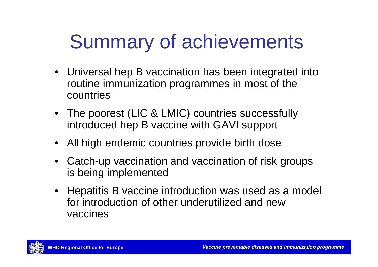# Summary of achievements

- Universal hep B vaccination has been integrated into routine immunization programmes in most of the countries
- The poorest (LIC & LMIC) countries successfully introduced hep B vaccine with GAVI support
- All high endemic countries provide birth dose
- Catch-up vaccination and vaccination of risk groups is being implemented
- Hepatitis B vaccine introduction was used as a model for introduction of other underutilized and new vaccines

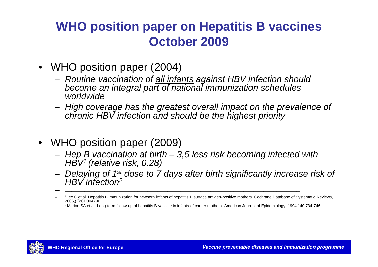- • WHO position paper (2004)
	- *Routine vaccination of all infants against HBV infection should become an integral part of national immunization schedules worldwide*
	- *High coverage has the greatest overall impact on the prevalence of chronic HBV infection and should be the highest priority*
- WHO position paper (2009)
	- *Hep B vaccination at birth – 3,5 less risk becoming infected with HBV1 (relative risk, 0.28)*
	- *Delaying of 1st dose to 7 days after birth significantly increase risk of HBV infection2*

\_\_\_\_\_\_\_\_\_\_\_\_\_\_\_\_\_\_\_\_\_\_\_\_\_\_\_\_\_\_\_\_\_\_\_\_\_\_\_\_\_\_\_\_\_\_\_\_\_\_\_\_\_\_\_\_\_\_\_\_\_\_\_\_\_\_\_\_\_\_\_



<sup>–</sup> 1Lee C et al. Hepatitis B immunization for newborn infants of hepatitis B surface antigen-positive mothers. Cochrane Database of Systematic Reviews, 2006,(2):CD004790

<sup>–</sup>2 Marion SA et al. Long-term follow-up of hepatitis B vaccine in infants of carrier mothers. American Journal of Epidemiology, 1994,140:734-746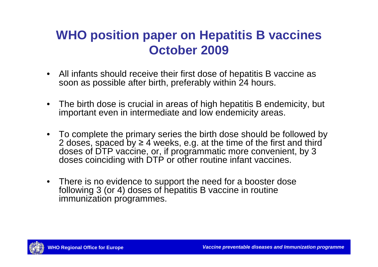- All infants should receive their first dose of hepatitis B vaccine as soon as possible after birth, preferably within 24 hours.
- The birth dose is crucial in areas of high hepatitis B endemicity, but important even in intermediate and low endemicity areas.
- To complete the primary series the birth dose should be followed by 2 doses, spaced by  $\geq 4$  weeks, e.g. at the time of the first and third doses of DTP vaccine, or, if programmatic more convenient, by 3 doses coinciding with DTP or other routine infant vaccines.
- There is no evidence to support the need for a booster dose following 3 (or 4) doses of hepatitis B vaccine in routine immunization programmes.

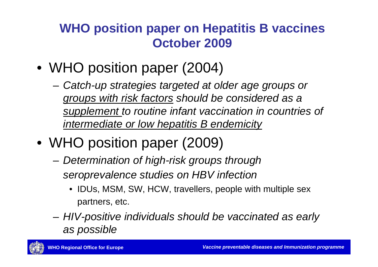- WHO position paper (2004)
	- and the state of the *Catch-up strategies targeted at older age groups or groups with risk factors should be considered as a supplement to routine infant vaccination in countries of intermediate or low hepatitis B endemicity*
- WHO position paper (2009)
	- **Links of the Company**  *Determination of high-risk groups through seroprevalence studies on HBV infection*
		- IDUs, MSM, SW, HCW, travellers, people with multiple sex partners, etc.
	- and the state of the *HIV-positive individuals should be vaccinated as early as possible*

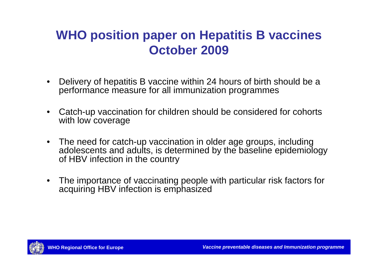- • Delivery of hepatitis B vaccine within 24 hours of birth should be a performance measure for all immunization programmes
- • Catch-up vaccination for children should be considered for cohorts with low coverage
- The need for catch-up vaccination in older age groups, including adolescents and adults, is determined by the baseline epidemiology of HBV infection in the country
- • The importance of vaccinating people with particular risk factors for acquiring HBV infection is emphasized

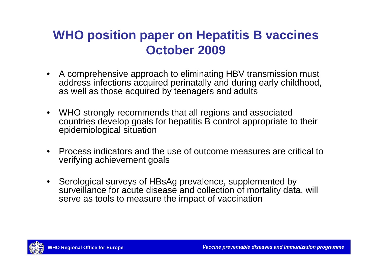- A comprehensive approach to eliminating HBV transmission must address infections acquired perinatally and during early childhood, as well as those acquired by teenagers and adults
- WHO strongly recommends that all regions and associated countries develop goals for hepatitis B control appropriate to their epidemiological situation
- Process indicators and the use of outcome measures are critical to verifying achievement goals
- Serological surveys of HBsAg prevalence, supplemented by surveillance for acute disease and collection of mortality data, will serve as tools to measure the impact of vaccination

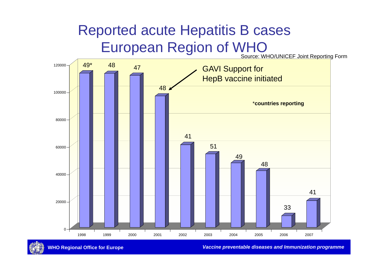### Reported acute Hepatitis B cases European Region of WHO

Source: WHO/UNICEF Joint Reporting Form



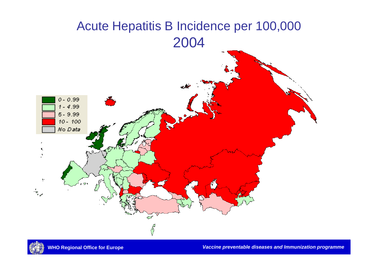#### Acute Hepatitis B Incidence per 100,000 2004



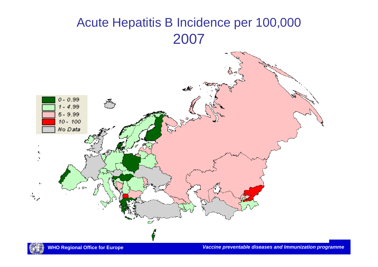#### Acute Hepatitis B Incidence per 100,000 2007



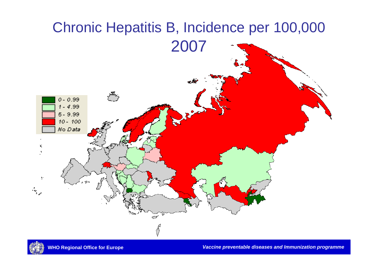

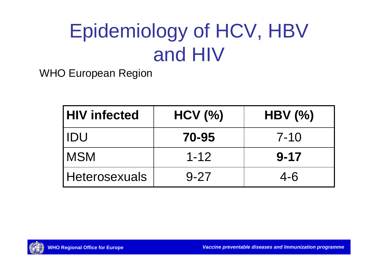# Epidemiology of HCV, HBV and HIV

WHO European Region

| <b>HIV infected</b> | HCV (%)  | $HBV$ $\left(\frac{6}{6}\right)$ |
|---------------------|----------|----------------------------------|
| ' IDU               | 70-95    | $7 - 10$                         |
| <b>IMSM</b>         | $1 - 12$ | $9 - 17$                         |
| Heterosexuals       | $9 - 27$ | $4 - 6$                          |

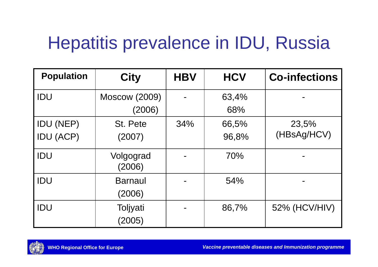## Hepatitis prevalence in IDU, Russia

| <b>Population</b> | <b>City</b>          | <b>HBV</b> | <b>HCV</b> | <b>Co-infections</b> |
|-------------------|----------------------|------------|------------|----------------------|
| IDU               | <b>Moscow (2009)</b> |            | 63,4%      |                      |
|                   | (2006)               |            | 68%        |                      |
| <b>IDU (NEP)</b>  | St. Pete             | 34%        | 66,5%      | 23,5%                |
| <b>IDU (ACP)</b>  | (2007)               |            | 96,8%      | (HBsAg/HCV)          |
| <b>IDU</b>        | Volgograd<br>(2006)  |            | 70%        |                      |
| <b>IDU</b>        | <b>Barnaul</b>       |            | 54%        |                      |
|                   | (2006)               |            |            |                      |
| IDU               | Toljyati             |            | 86,7%      | 52% (HCV/HIV)        |
|                   | (2005)               |            |            |                      |

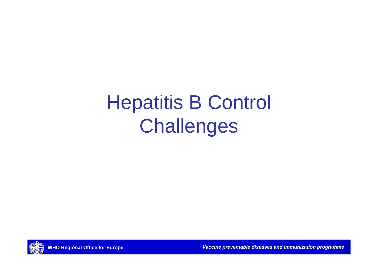# Hepatitis B Control **Challenges**

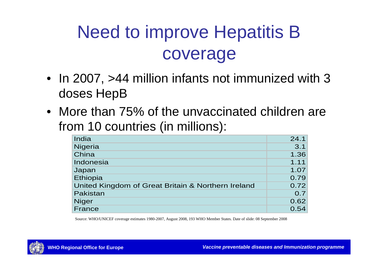## Need to improve Hepatitis B coverage

- In 2007, >44 million infants not immunized with 3 doses HepB
- More than 75% of the unvaccinated children are from 10 countries (in millions):

| India                                              | 24.1 |
|----------------------------------------------------|------|
| Nigeria                                            | 3.1  |
| China                                              | 1.36 |
| Indonesia                                          | 1.11 |
| Japan                                              | 1.07 |
| Ethiopia                                           | 0.79 |
| United Kingdom of Great Britain & Northern Ireland | 0.72 |
| Pakistan                                           | 0.7  |
| <b>Niger</b>                                       | 0.62 |
| France                                             | 0.54 |

Source: WHO/UNICEF coverage estimates 1980-2007, August 2008, 193 WHO Member States. Date of slide: 08 September 2008

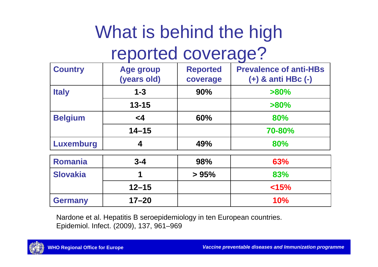## What is behind the high reported coverage?

| <b>Country</b>   | <b>Age group</b><br>(years old) | <b>Reported</b><br>coverage | <b>Prevalence of anti-HBs</b><br>$(+)$ & anti HBc $(-)$ |
|------------------|---------------------------------|-----------------------------|---------------------------------------------------------|
| <b>Italy</b>     | $1 - 3$                         | 90%                         | $>80\%$                                                 |
|                  | $13 - 15$                       |                             | $>80\%$                                                 |
| <b>Belgium</b>   | $\leq 4$                        | 60%                         | 80%                                                     |
|                  | $14 - 15$                       |                             | 70-80%                                                  |
| <b>Luxemburg</b> | 4                               | 49%                         | 80%                                                     |
| <b>Romania</b>   | $3 - 4$                         | 98%                         | 63%                                                     |
| <b>Slovakia</b>  | 1                               | > 95%                       | 83%                                                     |
|                  | $12 - 15$                       |                             | < 15%                                                   |
| <b>Germany</b>   | $17 - 20$                       |                             | <b>10%</b>                                              |

Nardone et al. Hepatitis B seroepidemiology in ten European countries. Epidemiol. Infect. (2009), 137, 961–969

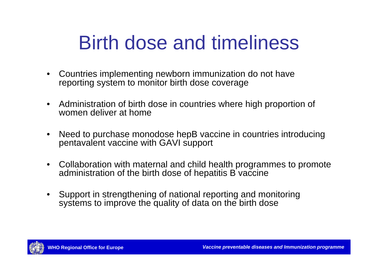## Birth dose and timeliness

- $\bullet$  Countries implementing newborn immunization do not have reporting system to monitor birth dose coverage
- $\bullet$  Administration of birth dose in countries where high proportion of women deliver at home
- $\bullet$  Need to purchase monodose hepB vaccine in countries introducing pentavalent vaccine with GAVI support
- $\bullet$  Collaboration with maternal and child health programmes to promote administration of the birth dose of hepatitis B vaccine
- • Support in strengthening of national reporting and monitoring systems to improve the quality of data on the birth dose

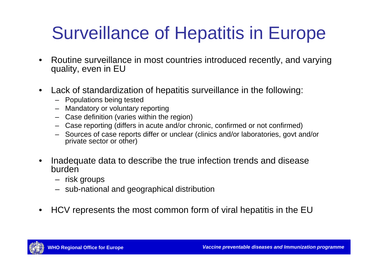### Surveillance of Hepatitis in Europe

- • Routine surveillance in most countries introduced recently, and varying quality, even in EU
- • Lack of standardization of hepatitis surveillance in the following:
	- Populations being tested
	- Mandatory or voluntary reporting
	- Case definition (varies within the region)
	- Case reporting (differs in acute and/or chronic, confirmed or not confirmed)
	- Sources of case reports differ or unclear (clinics and/or laboratories, govt and/or private sector or other)
- • Inadequate data to describe the true infection trends and disease burden
	- risk groups
	- sub-national and geographical distribution
- •HCV represents the most common form of viral hepatitis in the EU

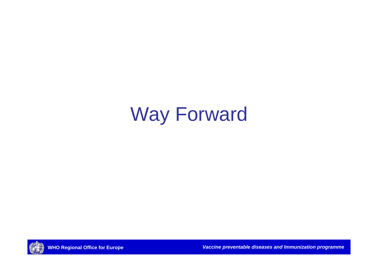# Way Forward

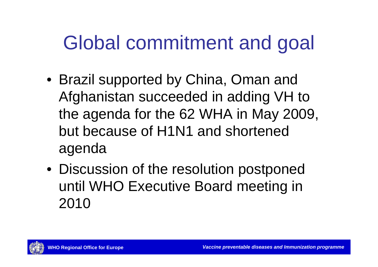# Global commitment and goal

- Brazil supported by China, Oman and Afghanistan succeeded in adding VH to the agenda for the 62 WHA in May 2009, but because of H1N1 and shortened agenda
- Discussion of the resolution postponed until WHO Executive Board meeting in 2010

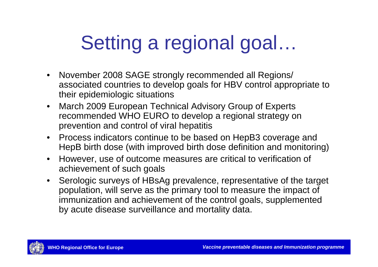# Setting a regional goal…

- November 2008 SAGE strongly recommended all Regions/ associated countries to develop goals for HBV control appropriate to their epidemiologic situations
- $\bullet$  March 2009 European Technical Advisory Group of Experts recommended WHO EURO to develop a regional strategy on prevention and control of viral hepatitis
- Process indicators continue to be based on HepB3 coverage and HepB birth dose (with improved birth dose definition and monitoring)
- $\bullet$  However, use of outcome measures are critical to verification of achievement of such goals
- Serologic surveys of HBsAg prevalence, representative of the target population, will serve as the primary tool to measure the impact of immunization and achievement of the control goals, supplemented by acute disease surveillance and mortality data.

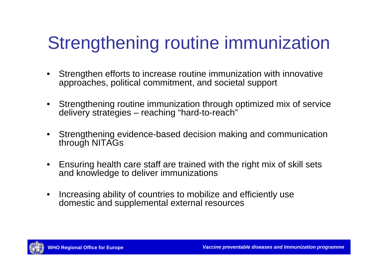## Strengthening routine immunization

- $\bullet$  Strengthen efforts to increase routine immunization with innovative approaches, political commitment, and societal support
- Strengthening routine immunization through optimized mix of service delivery strategies – reaching "hard-to-reach"
- $\bullet$  Strengthening evidence-based decision making and communication through NITAGs
- $\bullet$  Ensuring health care staff are trained with the right mix of skill sets and knowledge to deliver immunizations
- • Increasing ability of countries to mobilize and efficiently use domestic and supplemental external resources

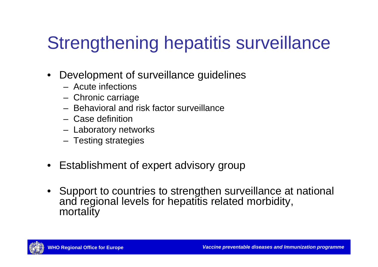## Strengthening hepatitis surveillance

- • Development of surveillance guidelines
	- Acute infections
	- –Chronic carriage
	- Behavioral and risk factor surveillance
	- Case definition
	- –– Laboratory networks
	- –– Testing strategies
- •Establishment of expert advisory group
- Support to countries to strengthen surveillance at national and regional levels for hepatitis related morbidity, mortality

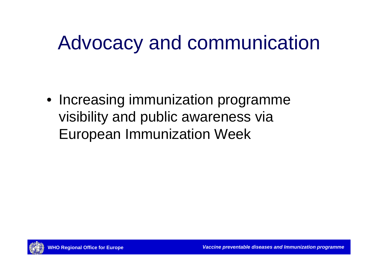# Advocacy and communication

• Increasing immunization programme visibility and public awareness via European Immunization Week

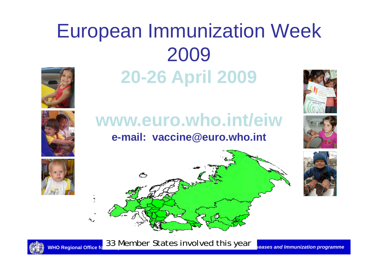# European Immunization Week 2009 **20-26 April 2009**





#### **www.euro.who.int/eiwe-mail: vaccine@euro.who.int**







WHO Regional Office for *VACCINE CULTES INVOLVED* **CULTES**  $y$ Cultes *seases and Immunization programme* 33 Member States involved this year